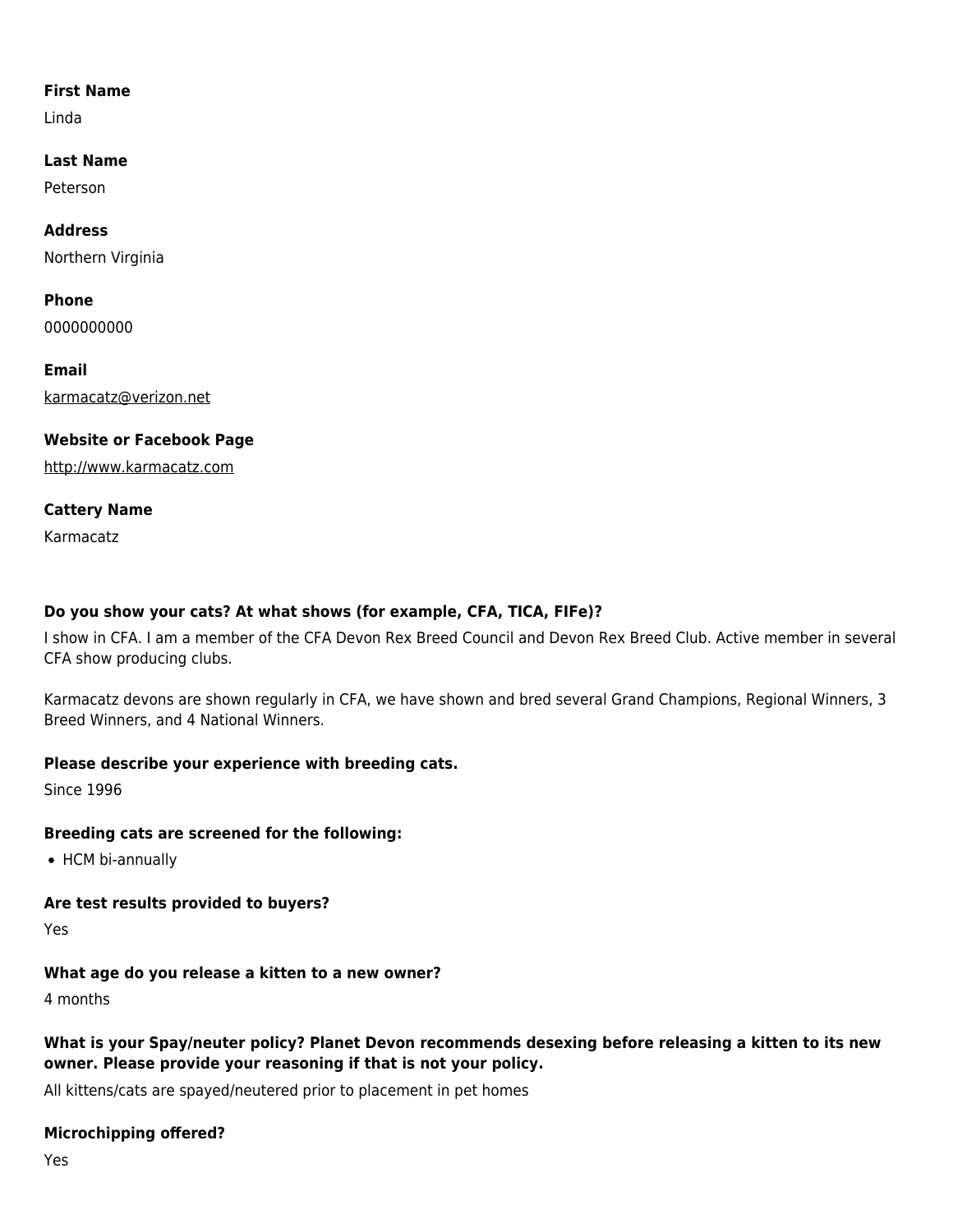### **First Name**

Linda

**Last Name**

Peterson

**Address** Northern Virginia

**Phone** 0000000000

**Email** [karmacatz@verizon.net](mailto:karmacatz@verizon.net)

# **Website or Facebook Page**

<http://www.karmacatz.com>

## **Cattery Name**

Karmacatz

# **Do you show your cats? At what shows (for example, CFA, TICA, FIFe)?**

I show in CFA. I am a member of the CFA Devon Rex Breed Council and Devon Rex Breed Club. Active member in several CFA show producing clubs.

Karmacatz devons are shown regularly in CFA, we have shown and bred several Grand Champions, Regional Winners, 3 Breed Winners, and 4 National Winners.

## **Please describe your experience with breeding cats.**

Since 1996

## **Breeding cats are screened for the following:**

• HCM bi-annually

## **Are test results provided to buyers?**

Yes

# **What age do you release a kitten to a new owner?**

4 months

# **What is your Spay/neuter policy? Planet Devon recommends desexing before releasing a kitten to its new owner. Please provide your reasoning if that is not your policy.**

All kittens/cats are spayed/neutered prior to placement in pet homes

# **Microchipping offered?**

Yes